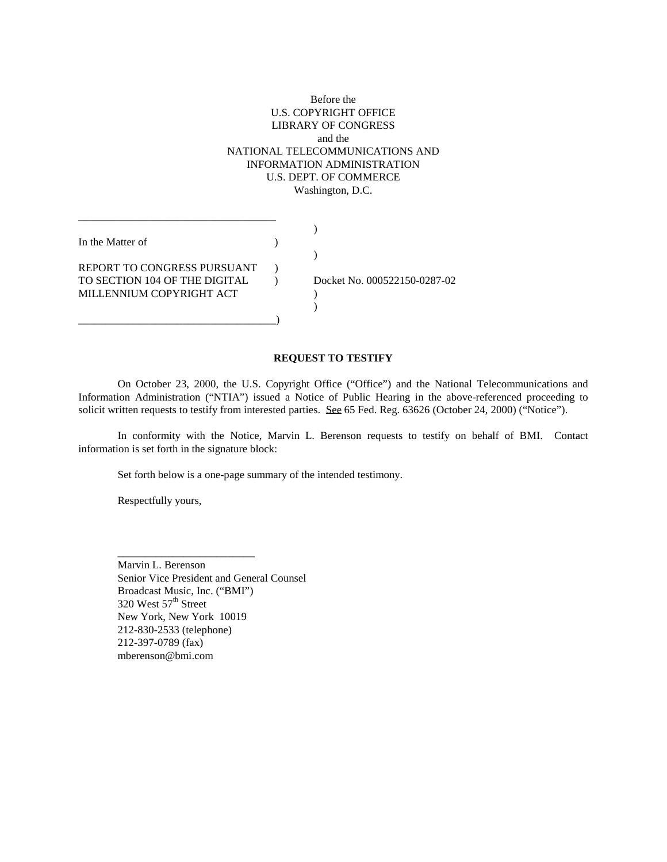# Before the U.S. COPYRIGHT OFFICE LIBRARY OF CONGRESS and the NATIONAL TELECOMMUNICATIONS AND INFORMATION ADMINISTRATION U.S. DEPT. OF COMMERCE Washington, D.C.

| In the Matter of              |                              |
|-------------------------------|------------------------------|
|                               |                              |
| REPORT TO CONGRESS PURSUANT   |                              |
| TO SECTION 104 OF THE DIGITAL | Docket No. 000522150-0287-02 |
| MILLENNIUM COPYRIGHT ACT      |                              |
|                               |                              |
|                               |                              |

#### **REQUEST TO TESTIFY**

On October 23, 2000, the U.S. Copyright Office ("Office") and the National Telecommunications and Information Administration ("NTIA") issued a Notice of Public Hearing in the above-referenced proceeding to solicit written requests to testify from interested parties. See 65 Fed. Reg. 63626 (October 24, 2000) ("Notice").

 In conformity with the Notice, Marvin L. Berenson requests to testify on behalf of BMI. Contact information is set forth in the signature block:

Set forth below is a one-page summary of the intended testimony.

Respectfully yours,

 $\overline{\phantom{a}}$  ,  $\overline{\phantom{a}}$  ,  $\overline{\phantom{a}}$  ,  $\overline{\phantom{a}}$  ,  $\overline{\phantom{a}}$  ,  $\overline{\phantom{a}}$  ,  $\overline{\phantom{a}}$  ,  $\overline{\phantom{a}}$  ,  $\overline{\phantom{a}}$  ,  $\overline{\phantom{a}}$  ,  $\overline{\phantom{a}}$  ,  $\overline{\phantom{a}}$  ,  $\overline{\phantom{a}}$  ,  $\overline{\phantom{a}}$  ,  $\overline{\phantom{a}}$  ,  $\overline{\phantom{a}}$ 

 Marvin L. Berenson Senior Vice President and General Counsel Broadcast Music, Inc. ("BMI")  $320$  West  $57<sup>th</sup>$  Street New York, New York 10019 212-830-2533 (telephone) 212-397-0789 (fax) mberenson@bmi.com